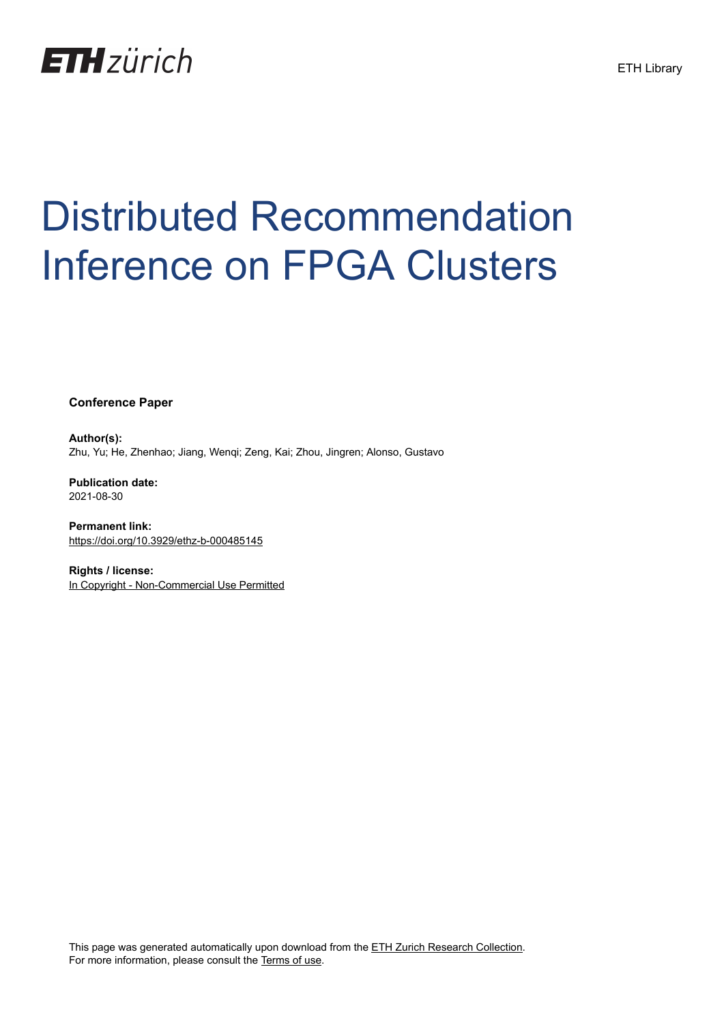

# Distributed Recommendation Inference on FPGA Clusters

**Conference Paper**

**Author(s):** Zhu, Yu; He, Zhenhao; Jiang, Wenqi; Zeng, Kai; Zhou, Jingren; Alonso, Gustavo

**Publication date:** 2021-08-30

**Permanent link:** <https://doi.org/10.3929/ethz-b-000485145>

**Rights / license:** [In Copyright - Non-Commercial Use Permitted](http://rightsstatements.org/page/InC-NC/1.0/)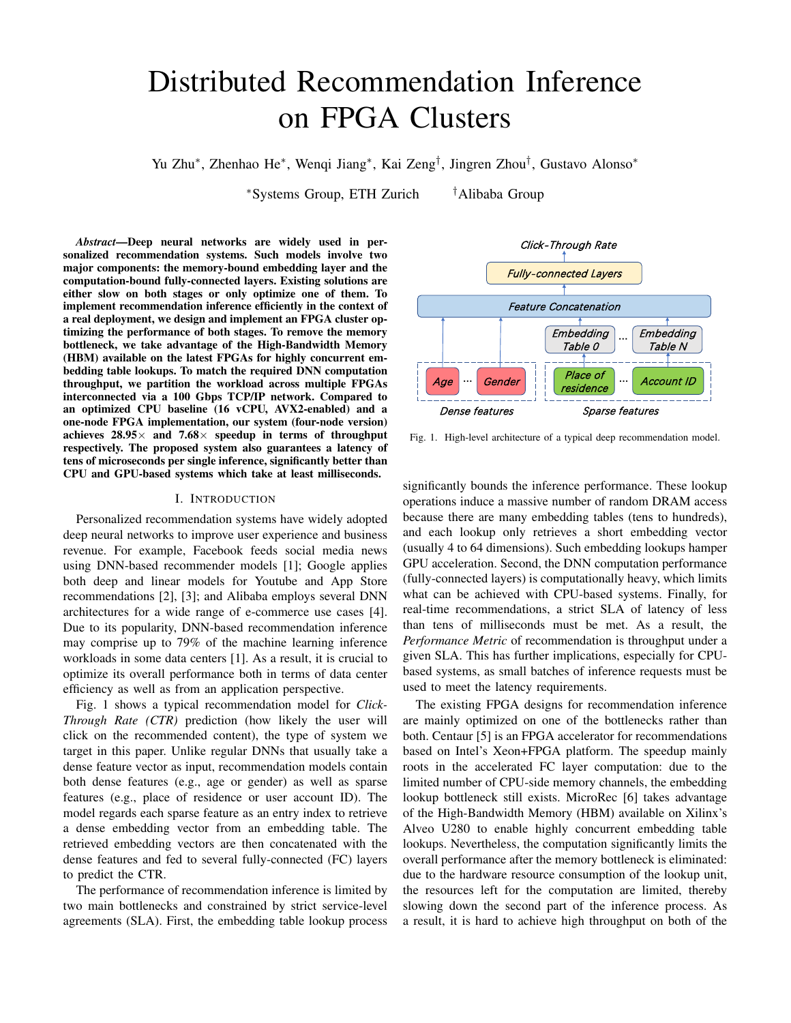# Distributed Recommendation Inference on FPGA Clusters

Yu Zhu<sup>∗</sup> , Zhenhao He<sup>∗</sup> , Wenqi Jiang<sup>∗</sup> , Kai Zeng† , Jingren Zhou† , Gustavo Alonso<sup>∗</sup>

<sup>∗</sup>Systems Group, ETH Zurich †Alibaba Group

*Abstract*—Deep neural networks are widely used in personalized recommendation systems. Such models involve two major components: the memory-bound embedding layer and the computation-bound fully-connected layers. Existing solutions are either slow on both stages or only optimize one of them. To implement recommendation inference efficiently in the context of a real deployment, we design and implement an FPGA cluster optimizing the performance of both stages. To remove the memory bottleneck, we take advantage of the High-Bandwidth Memory (HBM) available on the latest FPGAs for highly concurrent embedding table lookups. To match the required DNN computation throughput, we partition the workload across multiple FPGAs interconnected via a 100 Gbps TCP/IP network. Compared to an optimized CPU baseline (16 vCPU, AVX2-enabled) and a one-node FPGA implementation, our system (four-node version) achieves  $28.95\times$  and  $7.68\times$  speedup in terms of throughput respectively. The proposed system also guarantees a latency of tens of microseconds per single inference, significantly better than CPU and GPU-based systems which take at least milliseconds.

# I. INTRODUCTION

Personalized recommendation systems have widely adopted deep neural networks to improve user experience and business revenue. For example, Facebook feeds social media news using DNN-based recommender models [1]; Google applies both deep and linear models for Youtube and App Store recommendations [2], [3]; and Alibaba employs several DNN architectures for a wide range of e-commerce use cases [4]. Due to its popularity, DNN-based recommendation inference may comprise up to 79% of the machine learning inference workloads in some data centers [1]. As a result, it is crucial to optimize its overall performance both in terms of data center efficiency as well as from an application perspective.

Fig. 1 shows a typical recommendation model for *Click-Through Rate (CTR)* prediction (how likely the user will click on the recommended content), the type of system we target in this paper. Unlike regular DNNs that usually take a dense feature vector as input, recommendation models contain both dense features (e.g., age or gender) as well as sparse features (e.g., place of residence or user account ID). The model regards each sparse feature as an entry index to retrieve a dense embedding vector from an embedding table. The retrieved embedding vectors are then concatenated with the dense features and fed to several fully-connected (FC) layers to predict the CTR.

The performance of recommendation inference is limited by two main bottlenecks and constrained by strict service-level agreements (SLA). First, the embedding table lookup process



Fig. 1. High-level architecture of a typical deep recommendation model.

significantly bounds the inference performance. These lookup operations induce a massive number of random DRAM access because there are many embedding tables (tens to hundreds), and each lookup only retrieves a short embedding vector (usually 4 to 64 dimensions). Such embedding lookups hamper GPU acceleration. Second, the DNN computation performance (fully-connected layers) is computationally heavy, which limits what can be achieved with CPU-based systems. Finally, for real-time recommendations, a strict SLA of latency of less than tens of milliseconds must be met. As a result, the *Performance Metric* of recommendation is throughput under a given SLA. This has further implications, especially for CPUbased systems, as small batches of inference requests must be used to meet the latency requirements.

The existing FPGA designs for recommendation inference are mainly optimized on one of the bottlenecks rather than both. Centaur [5] is an FPGA accelerator for recommendations based on Intel's Xeon+FPGA platform. The speedup mainly roots in the accelerated FC layer computation: due to the limited number of CPU-side memory channels, the embedding lookup bottleneck still exists. MicroRec [6] takes advantage of the High-Bandwidth Memory (HBM) available on Xilinx's Alveo U280 to enable highly concurrent embedding table lookups. Nevertheless, the computation significantly limits the overall performance after the memory bottleneck is eliminated: due to the hardware resource consumption of the lookup unit, the resources left for the computation are limited, thereby slowing down the second part of the inference process. As a result, it is hard to achieve high throughput on both of the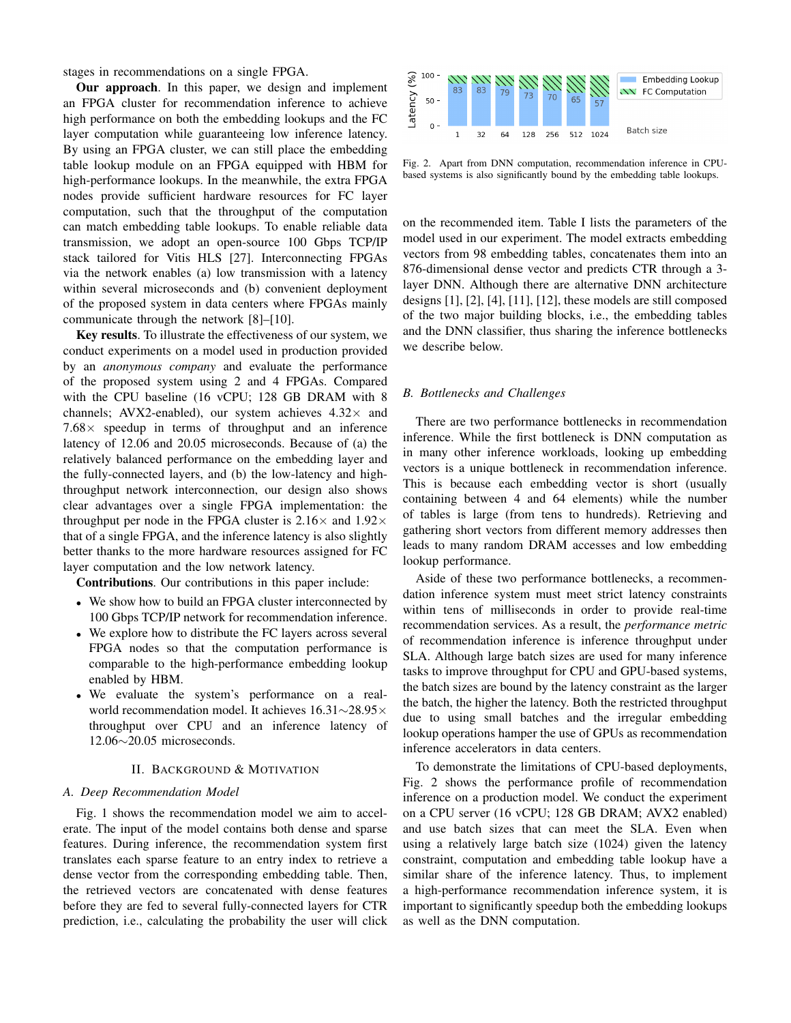stages in recommendations on a single FPGA.

Our approach. In this paper, we design and implement an FPGA cluster for recommendation inference to achieve high performance on both the embedding lookups and the FC layer computation while guaranteeing low inference latency. By using an FPGA cluster, we can still place the embedding table lookup module on an FPGA equipped with HBM for high-performance lookups. In the meanwhile, the extra FPGA nodes provide sufficient hardware resources for FC layer computation, such that the throughput of the computation can match embedding table lookups. To enable reliable data transmission, we adopt an open-source 100 Gbps TCP/IP stack tailored for Vitis HLS [27]. Interconnecting FPGAs via the network enables (a) low transmission with a latency within several microseconds and (b) convenient deployment of the proposed system in data centers where FPGAs mainly communicate through the network [8]–[10].

Key results. To illustrate the effectiveness of our system, we conduct experiments on a model used in production provided by an *anonymous company* and evaluate the performance of the proposed system using 2 and 4 FPGAs. Compared with the CPU baseline (16 vCPU; 128 GB DRAM with 8 channels; AVX2-enabled), our system achieves  $4.32\times$  and  $7.68\times$  speedup in terms of throughput and an inference latency of 12.06 and 20.05 microseconds. Because of (a) the relatively balanced performance on the embedding layer and the fully-connected layers, and (b) the low-latency and highthroughput network interconnection, our design also shows clear advantages over a single FPGA implementation: the throughput per node in the FPGA cluster is  $2.16\times$  and  $1.92\times$ that of a single FPGA, and the inference latency is also slightly better thanks to the more hardware resources assigned for FC layer computation and the low network latency.

Contributions. Our contributions in this paper include:

- We show how to build an FPGA cluster interconnected by 100 Gbps TCP/IP network for recommendation inference.
- We explore how to distribute the FC layers across several FPGA nodes so that the computation performance is comparable to the high-performance embedding lookup enabled by HBM.
- We evaluate the system's performance on a realworld recommendation model. It achieves 16.31∼28.95× throughput over CPU and an inference latency of 12.06∼20.05 microseconds.

#### II. BACKGROUND & MOTIVATION

#### *A. Deep Recommendation Model*

Fig. 1 shows the recommendation model we aim to accelerate. The input of the model contains both dense and sparse features. During inference, the recommendation system first translates each sparse feature to an entry index to retrieve a dense vector from the corresponding embedding table. Then, the retrieved vectors are concatenated with dense features before they are fed to several fully-connected layers for CTR prediction, i.e., calculating the probability the user will click



Fig. 2. Apart from DNN computation, recommendation inference in CPUbased systems is also significantly bound by the embedding table lookups.

on the recommended item. Table I lists the parameters of the model used in our experiment. The model extracts embedding vectors from 98 embedding tables, concatenates them into an 876-dimensional dense vector and predicts CTR through a 3 layer DNN. Although there are alternative DNN architecture designs [1], [2], [4], [11], [12], these models are still composed of the two major building blocks, i.e., the embedding tables and the DNN classifier, thus sharing the inference bottlenecks we describe below.

### *B. Bottlenecks and Challenges*

There are two performance bottlenecks in recommendation inference. While the first bottleneck is DNN computation as in many other inference workloads, looking up embedding vectors is a unique bottleneck in recommendation inference. This is because each embedding vector is short (usually containing between 4 and 64 elements) while the number of tables is large (from tens to hundreds). Retrieving and gathering short vectors from different memory addresses then leads to many random DRAM accesses and low embedding lookup performance.

Aside of these two performance bottlenecks, a recommendation inference system must meet strict latency constraints within tens of milliseconds in order to provide real-time recommendation services. As a result, the *performance metric* of recommendation inference is inference throughput under SLA. Although large batch sizes are used for many inference tasks to improve throughput for CPU and GPU-based systems, the batch sizes are bound by the latency constraint as the larger the batch, the higher the latency. Both the restricted throughput due to using small batches and the irregular embedding lookup operations hamper the use of GPUs as recommendation inference accelerators in data centers.

To demonstrate the limitations of CPU-based deployments, Fig. 2 shows the performance profile of recommendation inference on a production model. We conduct the experiment on a CPU server (16 vCPU; 128 GB DRAM; AVX2 enabled) and use batch sizes that can meet the SLA. Even when using a relatively large batch size (1024) given the latency constraint, computation and embedding table lookup have a similar share of the inference latency. Thus, to implement a high-performance recommendation inference system, it is important to significantly speedup both the embedding lookups as well as the DNN computation.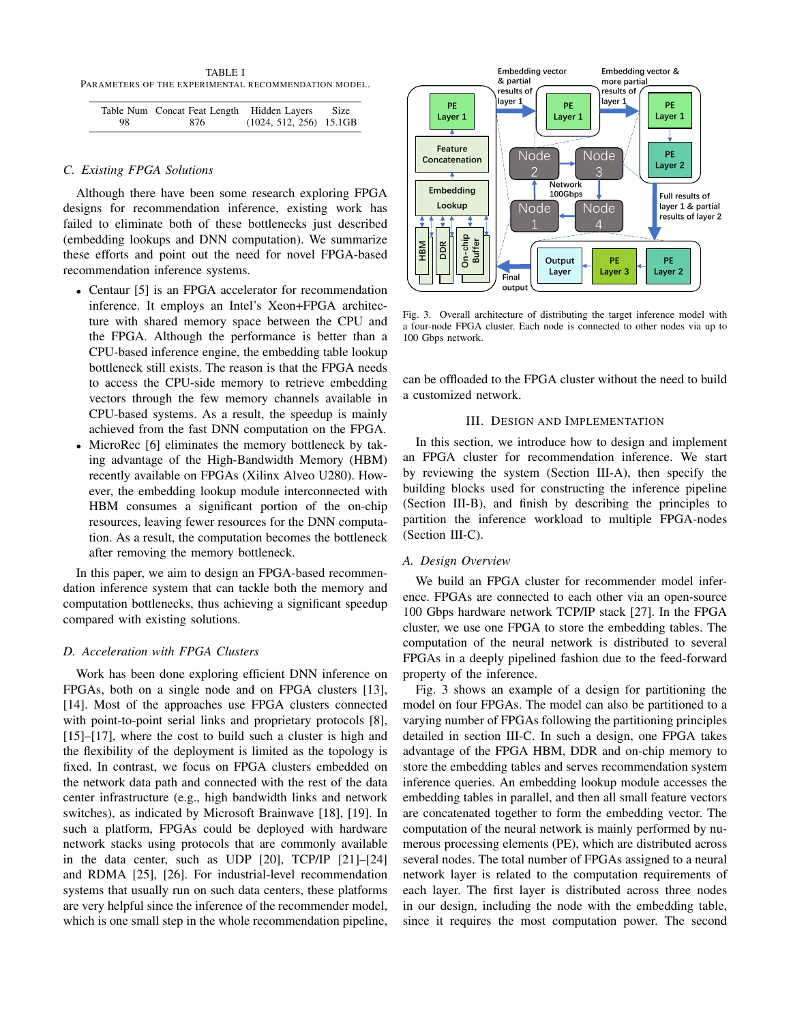TABLE I PARAMETERS OF THE EXPERIMENTAL RECOMMENDATION MODEL.

|    | Table Num Concat Feat Length Hidden Layers Size |                           |  |
|----|-------------------------------------------------|---------------------------|--|
| 98 | -876                                            | $(1024, 512, 256)$ 15.1GB |  |

# *C. Existing FPGA Solutions*

Although there have been some research exploring FPGA designs for recommendation inference, existing work has failed to eliminate both of these bottlenecks just described (embedding lookups and DNN computation). We summarize these efforts and point out the need for novel FPGA-based recommendation inference systems.

- Centaur [5] is an FPGA accelerator for recommendation inference. It employs an Intel's Xeon+FPGA architecture with shared memory space between the CPU and the FPGA. Although the performance is better than a CPU-based inference engine, the embedding table lookup bottleneck still exists. The reason is that the FPGA needs to access the CPU-side memory to retrieve embedding vectors through the few memory channels available in CPU-based systems. As a result, the speedup is mainly achieved from the fast DNN computation on the FPGA.
- MicroRec [6] eliminates the memory bottleneck by taking advantage of the High-Bandwidth Memory (HBM) recently available on FPGAs (Xilinx Alveo U280). However, the embedding lookup module interconnected with HBM consumes a significant portion of the on-chip resources, leaving fewer resources for the DNN computation. As a result, the computation becomes the bottleneck after removing the memory bottleneck.

In this paper, we aim to design an FPGA-based recommendation inference system that can tackle both the memory and computation bottlenecks, thus achieving a significant speedup compared with existing solutions.

# *D. Acceleration with FPGA Clusters*

Work has been done exploring efficient DNN inference on FPGAs, both on a single node and on FPGA clusters [13], [14]. Most of the approaches use FPGA clusters connected with point-to-point serial links and proprietary protocols [8], [15]–[17], where the cost to build such a cluster is high and the flexibility of the deployment is limited as the topology is fixed. In contrast, we focus on FPGA clusters embedded on the network data path and connected with the rest of the data center infrastructure (e.g., high bandwidth links and network switches), as indicated by Microsoft Brainwave [18], [19]. In such a platform, FPGAs could be deployed with hardware network stacks using protocols that are commonly available in the data center, such as UDP [20], TCP/IP [21]–[24] and RDMA [25], [26]. For industrial-level recommendation systems that usually run on such data centers, these platforms are very helpful since the inference of the recommender model, which is one small step in the whole recommendation pipeline,



Fig. 3. Overall architecture of distributing the target inference model with a four-node FPGA cluster. Each node is connected to other nodes via up to 100 Gbps network.

can be offloaded to the FPGA cluster without the need to build a customized network.

## III. DESIGN AND IMPLEMENTATION

In this section, we introduce how to design and implement an FPGA cluster for recommendation inference. We start by reviewing the system (Section III-A), then specify the building blocks used for constructing the inference pipeline (Section III-B), and finish by describing the principles to partition the inference workload to multiple FPGA-nodes (Section III-C).

# *A. Design Overview*

We build an FPGA cluster for recommender model inference. FPGAs are connected to each other via an open-source 100 Gbps hardware network TCP/IP stack [27]. In the FPGA cluster, we use one FPGA to store the embedding tables. The computation of the neural network is distributed to several FPGAs in a deeply pipelined fashion due to the feed-forward property of the inference.

Fig. 3 shows an example of a design for partitioning the model on four FPGAs. The model can also be partitioned to a varying number of FPGAs following the partitioning principles detailed in section III-C. In such a design, one FPGA takes advantage of the FPGA HBM, DDR and on-chip memory to store the embedding tables and serves recommendation system inference queries. An embedding lookup module accesses the embedding tables in parallel, and then all small feature vectors are concatenated together to form the embedding vector. The computation of the neural network is mainly performed by numerous processing elements (PE), which are distributed across several nodes. The total number of FPGAs assigned to a neural network layer is related to the computation requirements of each layer. The first layer is distributed across three nodes in our design, including the node with the embedding table, since it requires the most computation power. The second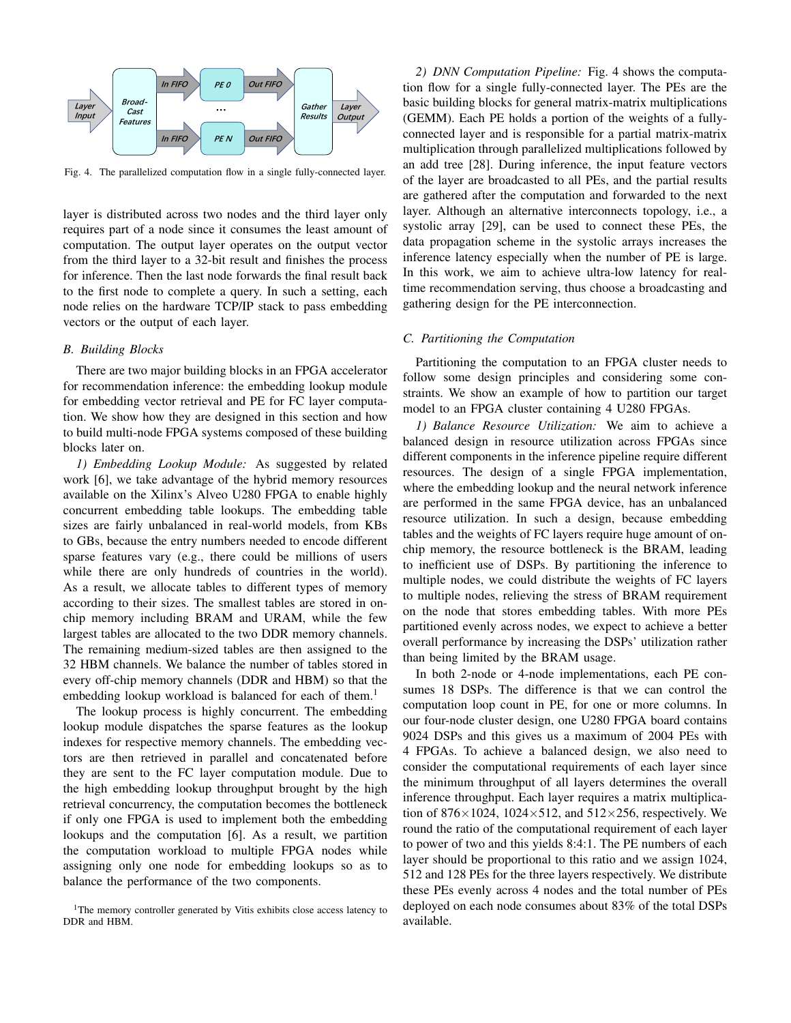

Fig. 4. The parallelized computation flow in a single fully-connected layer.

layer is distributed across two nodes and the third layer only requires part of a node since it consumes the least amount of computation. The output layer operates on the output vector from the third layer to a 32-bit result and finishes the process for inference. Then the last node forwards the final result back to the first node to complete a query. In such a setting, each node relies on the hardware TCP/IP stack to pass embedding vectors or the output of each layer.

#### *B. Building Blocks*

There are two major building blocks in an FPGA accelerator for recommendation inference: the embedding lookup module for embedding vector retrieval and PE for FC layer computation. We show how they are designed in this section and how to build multi-node FPGA systems composed of these building blocks later on.

*1) Embedding Lookup Module:* As suggested by related work [6], we take advantage of the hybrid memory resources available on the Xilinx's Alveo U280 FPGA to enable highly concurrent embedding table lookups. The embedding table sizes are fairly unbalanced in real-world models, from KBs to GBs, because the entry numbers needed to encode different sparse features vary (e.g., there could be millions of users while there are only hundreds of countries in the world). As a result, we allocate tables to different types of memory according to their sizes. The smallest tables are stored in onchip memory including BRAM and URAM, while the few largest tables are allocated to the two DDR memory channels. The remaining medium-sized tables are then assigned to the 32 HBM channels. We balance the number of tables stored in every off-chip memory channels (DDR and HBM) so that the embedding lookup workload is balanced for each of them.<sup>1</sup>

The lookup process is highly concurrent. The embedding lookup module dispatches the sparse features as the lookup indexes for respective memory channels. The embedding vectors are then retrieved in parallel and concatenated before they are sent to the FC layer computation module. Due to the high embedding lookup throughput brought by the high retrieval concurrency, the computation becomes the bottleneck if only one FPGA is used to implement both the embedding lookups and the computation [6]. As a result, we partition the computation workload to multiple FPGA nodes while assigning only one node for embedding lookups so as to balance the performance of the two components.

*2) DNN Computation Pipeline:* Fig. 4 shows the computation flow for a single fully-connected layer. The PEs are the basic building blocks for general matrix-matrix multiplications (GEMM). Each PE holds a portion of the weights of a fullyconnected layer and is responsible for a partial matrix-matrix multiplication through parallelized multiplications followed by an add tree [28]. During inference, the input feature vectors of the layer are broadcasted to all PEs, and the partial results are gathered after the computation and forwarded to the next layer. Although an alternative interconnects topology, i.e., a systolic array [29], can be used to connect these PEs, the data propagation scheme in the systolic arrays increases the inference latency especially when the number of PE is large. In this work, we aim to achieve ultra-low latency for realtime recommendation serving, thus choose a broadcasting and gathering design for the PE interconnection.

# *C. Partitioning the Computation*

Partitioning the computation to an FPGA cluster needs to follow some design principles and considering some constraints. We show an example of how to partition our target model to an FPGA cluster containing 4 U280 FPGAs.

*1) Balance Resource Utilization:* We aim to achieve a balanced design in resource utilization across FPGAs since different components in the inference pipeline require different resources. The design of a single FPGA implementation, where the embedding lookup and the neural network inference are performed in the same FPGA device, has an unbalanced resource utilization. In such a design, because embedding tables and the weights of FC layers require huge amount of onchip memory, the resource bottleneck is the BRAM, leading to inefficient use of DSPs. By partitioning the inference to multiple nodes, we could distribute the weights of FC layers to multiple nodes, relieving the stress of BRAM requirement on the node that stores embedding tables. With more PEs partitioned evenly across nodes, we expect to achieve a better overall performance by increasing the DSPs' utilization rather than being limited by the BRAM usage.

In both 2-node or 4-node implementations, each PE consumes 18 DSPs. The difference is that we can control the computation loop count in PE, for one or more columns. In our four-node cluster design, one U280 FPGA board contains 9024 DSPs and this gives us a maximum of 2004 PEs with 4 FPGAs. To achieve a balanced design, we also need to consider the computational requirements of each layer since the minimum throughput of all layers determines the overall inference throughput. Each layer requires a matrix multiplication of  $876 \times 1024$ ,  $1024 \times 512$ , and  $512 \times 256$ , respectively. We round the ratio of the computational requirement of each layer to power of two and this yields 8:4:1. The PE numbers of each layer should be proportional to this ratio and we assign 1024, 512 and 128 PEs for the three layers respectively. We distribute these PEs evenly across 4 nodes and the total number of PEs deployed on each node consumes about 83% of the total DSPs available.

<sup>&</sup>lt;sup>1</sup>The memory controller generated by Vitis exhibits close access latency to DDR and HBM.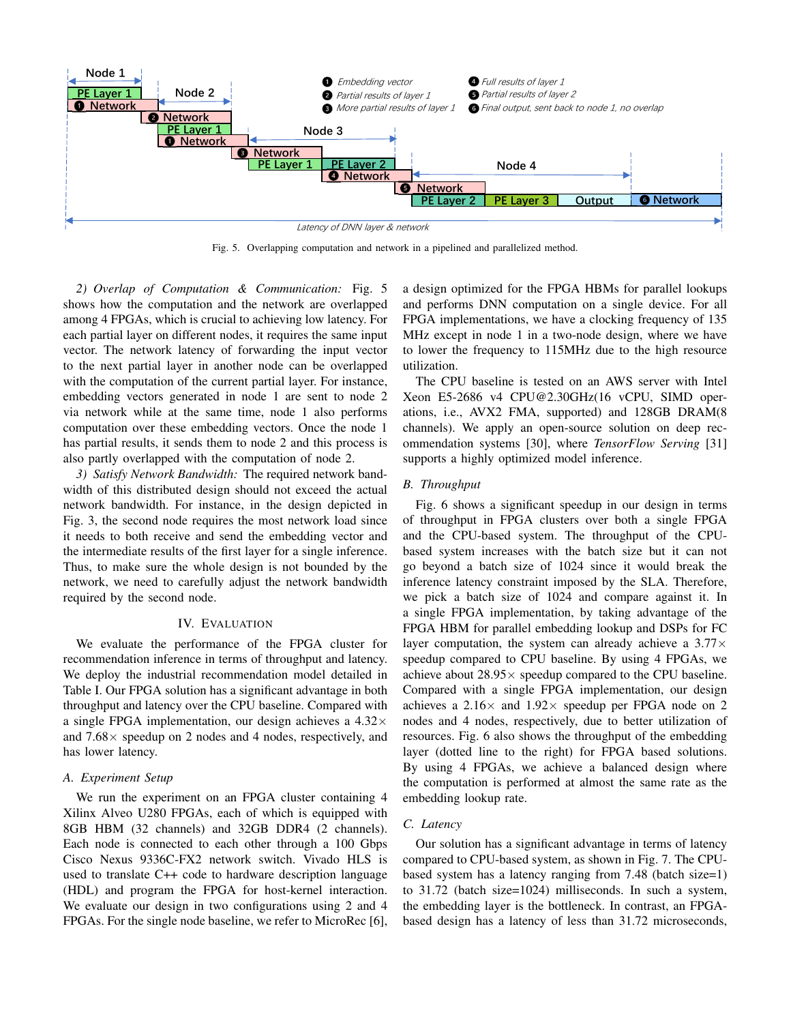

Fig. 5. Overlapping computation and network in a pipelined and parallelized method.

*2) Overlap of Computation & Communication:* Fig. 5 shows how the computation and the network are overlapped among 4 FPGAs, which is crucial to achieving low latency. For each partial layer on different nodes, it requires the same input vector. The network latency of forwarding the input vector to the next partial layer in another node can be overlapped with the computation of the current partial layer. For instance, embedding vectors generated in node 1 are sent to node 2 via network while at the same time, node 1 also performs computation over these embedding vectors. Once the node 1 has partial results, it sends them to node 2 and this process is also partly overlapped with the computation of node 2.

*3) Satisfy Network Bandwidth:* The required network bandwidth of this distributed design should not exceed the actual network bandwidth. For instance, in the design depicted in Fig. 3, the second node requires the most network load since it needs to both receive and send the embedding vector and the intermediate results of the first layer for a single inference. Thus, to make sure the whole design is not bounded by the network, we need to carefully adjust the network bandwidth required by the second node.

# IV. EVALUATION

We evaluate the performance of the FPGA cluster for recommendation inference in terms of throughput and latency. We deploy the industrial recommendation model detailed in Table I. Our FPGA solution has a significant advantage in both throughput and latency over the CPU baseline. Compared with a single FPGA implementation, our design achieves a  $4.32\times$ and  $7.68 \times$  speedup on 2 nodes and 4 nodes, respectively, and has lower latency.

#### *A. Experiment Setup*

We run the experiment on an FPGA cluster containing 4 Xilinx Alveo U280 FPGAs, each of which is equipped with 8GB HBM (32 channels) and 32GB DDR4 (2 channels). Each node is connected to each other through a 100 Gbps Cisco Nexus 9336C-FX2 network switch. Vivado HLS is used to translate C++ code to hardware description language (HDL) and program the FPGA for host-kernel interaction. We evaluate our design in two configurations using 2 and 4 FPGAs. For the single node baseline, we refer to MicroRec [6], a design optimized for the FPGA HBMs for parallel lookups and performs DNN computation on a single device. For all FPGA implementations, we have a clocking frequency of 135 MHz except in node 1 in a two-node design, where we have to lower the frequency to 115MHz due to the high resource utilization.

The CPU baseline is tested on an AWS server with Intel Xeon E5-2686 v4 CPU@2.30GHz(16 vCPU, SIMD operations, i.e., AVX2 FMA, supported) and 128GB DRAM(8 channels). We apply an open-source solution on deep recommendation systems [30], where *TensorFlow Serving* [31] supports a highly optimized model inference.

# *B. Throughput*

Fig. 6 shows a significant speedup in our design in terms of throughput in FPGA clusters over both a single FPGA and the CPU-based system. The throughput of the CPUbased system increases with the batch size but it can not go beyond a batch size of 1024 since it would break the inference latency constraint imposed by the SLA. Therefore, we pick a batch size of 1024 and compare against it. In a single FPGA implementation, by taking advantage of the FPGA HBM for parallel embedding lookup and DSPs for FC layer computation, the system can already achieve a  $3.77\times$ speedup compared to CPU baseline. By using 4 FPGAs, we achieve about  $28.95 \times$  speedup compared to the CPU baseline. Compared with a single FPGA implementation, our design achieves a 2.16 $\times$  and 1.92 $\times$  speedup per FPGA node on 2 nodes and 4 nodes, respectively, due to better utilization of resources. Fig. 6 also shows the throughput of the embedding layer (dotted line to the right) for FPGA based solutions. By using 4 FPGAs, we achieve a balanced design where the computation is performed at almost the same rate as the embedding lookup rate.

#### *C. Latency*

Our solution has a significant advantage in terms of latency compared to CPU-based system, as shown in Fig. 7. The CPUbased system has a latency ranging from 7.48 (batch size=1) to 31.72 (batch size=1024) milliseconds. In such a system, the embedding layer is the bottleneck. In contrast, an FPGAbased design has a latency of less than 31.72 microseconds,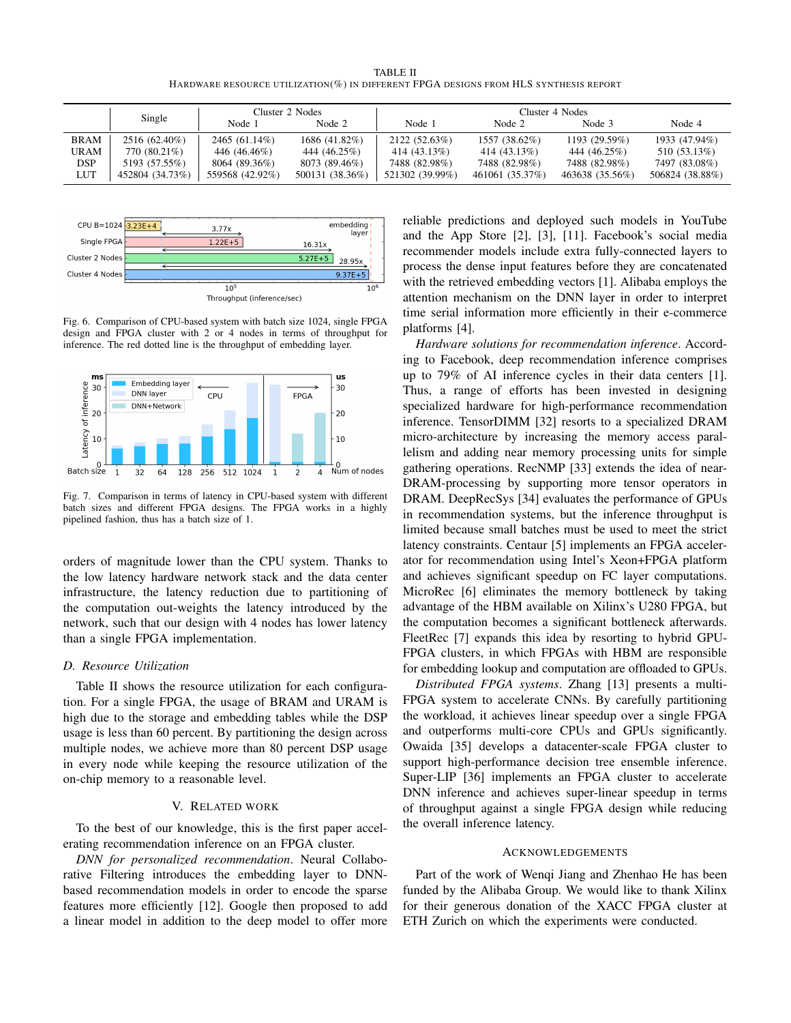TABLE II HARDWARE RESOURCE UTILIZATION(%) IN DIFFERENT FPGA DESIGNS FROM HLS SYNTHESIS REPORT

|             | Single          | Cluster 2 Nodes |                 | Cluster 4 Nodes |                 |                 |                 |
|-------------|-----------------|-----------------|-----------------|-----------------|-----------------|-----------------|-----------------|
|             |                 | Node 1          | Node 2          | Node 1          | Node 2          | Node 3          | Node 4          |
| <b>BRAM</b> | 2516 (62.40%)   | 2465 (61.14%)   | 1686 (41.82%)   | 2122 (52.63%)   | 1557 (38.62%)   | 1193 (29.59%)   | 1933 (47.94%)   |
| <b>URAM</b> | 770 (80.21%)    | 446 (46.46%)    | 444 (46.25%)    | 414 (43.13%)    | 414 (43.13%)    | 444 (46.25%)    | 510 (53.13%)    |
| <b>DSP</b>  | 5193 (57.55%)   | 8064 (89.36%)   | 8073 (89.46%)   | 7488 (82.98%)   | 7488 (82.98%)   | 7488 (82.98%)   | 7497 (83.08%)   |
| LUT         | 452804 (34.73%) | 559568 (42.92%) | 500131 (38.36%) | 521302 (39.99%) | 461061 (35.37%) | 463638 (35.56%) | 506824 (38.88%) |



Fig. 6. Comparison of CPU-based system with batch size 1024, single FPGA design and FPGA cluster with 2 or 4 nodes in terms of throughput for inference. The red dotted line is the throughput of embedding layer.



Fig. 7. Comparison in terms of latency in CPU-based system with different batch sizes and different FPGA designs. The FPGA works in a highly pipelined fashion, thus has a batch size of 1.

orders of magnitude lower than the CPU system. Thanks to the low latency hardware network stack and the data center infrastructure, the latency reduction due to partitioning of the computation out-weights the latency introduced by the network, such that our design with 4 nodes has lower latency than a single FPGA implementation.

# *D. Resource Utilization*

Table II shows the resource utilization for each configuration. For a single FPGA, the usage of BRAM and URAM is high due to the storage and embedding tables while the DSP usage is less than 60 percent. By partitioning the design across multiple nodes, we achieve more than 80 percent DSP usage in every node while keeping the resource utilization of the on-chip memory to a reasonable level.

# V. RELATED WORK

To the best of our knowledge, this is the first paper accelerating recommendation inference on an FPGA cluster.

*DNN for personalized recommendation*. Neural Collaborative Filtering introduces the embedding layer to DNNbased recommendation models in order to encode the sparse features more efficiently [12]. Google then proposed to add a linear model in addition to the deep model to offer more reliable predictions and deployed such models in YouTube and the App Store [2], [3], [11]. Facebook's social media recommender models include extra fully-connected layers to process the dense input features before they are concatenated with the retrieved embedding vectors [1]. Alibaba employs the attention mechanism on the DNN layer in order to interpret time serial information more efficiently in their e-commerce platforms [4].

*Hardware solutions for recommendation inference*. According to Facebook, deep recommendation inference comprises up to 79% of AI inference cycles in their data centers [1]. Thus, a range of efforts has been invested in designing specialized hardware for high-performance recommendation inference. TensorDIMM [32] resorts to a specialized DRAM micro-architecture by increasing the memory access parallelism and adding near memory processing units for simple gathering operations. RecNMP [33] extends the idea of near-DRAM-processing by supporting more tensor operators in DRAM. DeepRecSys [34] evaluates the performance of GPUs in recommendation systems, but the inference throughput is limited because small batches must be used to meet the strict latency constraints. Centaur [5] implements an FPGA accelerator for recommendation using Intel's Xeon+FPGA platform and achieves significant speedup on FC layer computations. MicroRec [6] eliminates the memory bottleneck by taking advantage of the HBM available on Xilinx's U280 FPGA, but the computation becomes a significant bottleneck afterwards. FleetRec [7] expands this idea by resorting to hybrid GPU-FPGA clusters, in which FPGAs with HBM are responsible for embedding lookup and computation are offloaded to GPUs.

*Distributed FPGA systems*. Zhang [13] presents a multi-FPGA system to accelerate CNNs. By carefully partitioning the workload, it achieves linear speedup over a single FPGA and outperforms multi-core CPUs and GPUs significantly. Owaida [35] develops a datacenter-scale FPGA cluster to support high-performance decision tree ensemble inference. Super-LIP [36] implements an FPGA cluster to accelerate DNN inference and achieves super-linear speedup in terms of throughput against a single FPGA design while reducing the overall inference latency.

#### ACKNOWLEDGEMENTS

Part of the work of Wenqi Jiang and Zhenhao He has been funded by the Alibaba Group. We would like to thank Xilinx for their generous donation of the XACC FPGA cluster at ETH Zurich on which the experiments were conducted.